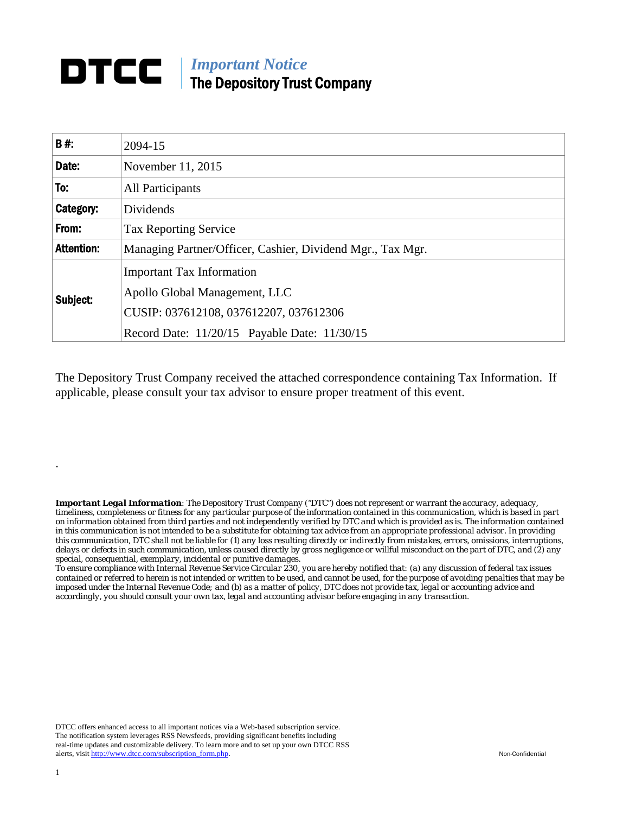## *Important Notice*  The Depository Trust Company

| <b>B#:</b>        | 2094-15                                                                                                                                                     |
|-------------------|-------------------------------------------------------------------------------------------------------------------------------------------------------------|
| Date:             | November 11, 2015                                                                                                                                           |
| To:               | <b>All Participants</b>                                                                                                                                     |
| Category:         | Dividends                                                                                                                                                   |
| From:             | <b>Tax Reporting Service</b>                                                                                                                                |
| <b>Attention:</b> | Managing Partner/Officer, Cashier, Dividend Mgr., Tax Mgr.                                                                                                  |
| Subject:          | <b>Important Tax Information</b><br>Apollo Global Management, LLC<br>CUSIP: 037612108, 037612207, 037612306<br>Record Date: 11/20/15 Payable Date: 11/30/15 |

The Depository Trust Company received the attached correspondence containing Tax Information. If applicable, please consult your tax advisor to ensure proper treatment of this event.

*Important Legal Information: The Depository Trust Company ("DTC") does not represent or warrant the accuracy, adequacy, timeliness, completeness or fitness for any particular purpose of the information contained in this communication, which is based in part on information obtained from third parties and not independently verified by DTC and which is provided as is. The information contained in this communication is not intended to be a substitute for obtaining tax advice from an appropriate professional advisor. In providing this communication, DTC shall not be liable for (1) any loss resulting directly or indirectly from mistakes, errors, omissions, interruptions, delays or defects in such communication, unless caused directly by gross negligence or willful misconduct on the part of DTC, and (2) any special, consequential, exemplary, incidental or punitive damages.* 

*To ensure compliance with Internal Revenue Service Circular 230, you are hereby notified that: (a) any discussion of federal tax issues contained or referred to herein is not intended or written to be used, and cannot be used, for the purpose of avoiding penalties that may be imposed under the Internal Revenue Code; and (b) as a matter of policy, DTC does not provide tax, legal or accounting advice and accordingly, you should consult your own tax, legal and accounting advisor before engaging in any transaction.*

DTCC offers enhanced access to all important notices via a Web-based subscription service. The notification system leverages RSS Newsfeeds, providing significant benefits including real-time updates and customizable delivery. To learn more and to set up your own DTCC RSS alerts, visit http://www.dtcc.com/subscription\_form.php. Non-Confidential

.